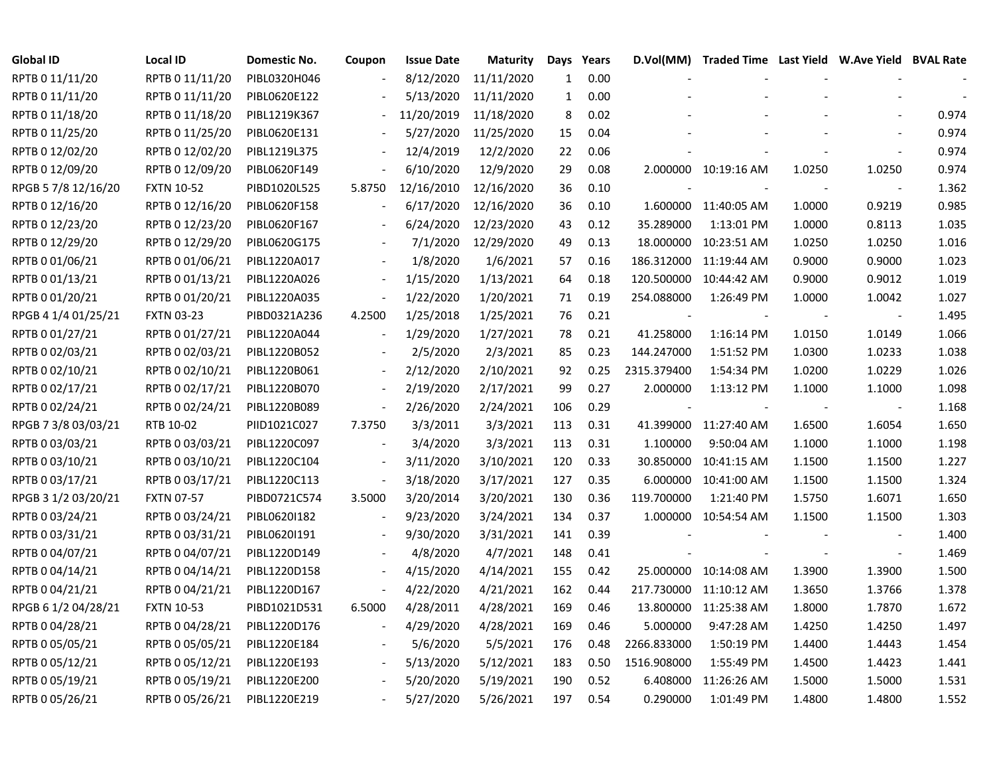| <b>Global ID</b>    | <b>Local ID</b>   | Domestic No. | Coupon                   | <b>Issue Date</b> | <b>Maturity</b> | Days         | Years | D.Vol(MM)   | Traded Time Last Yield W.Ave Yield BVAL Rate |        |                          |       |
|---------------------|-------------------|--------------|--------------------------|-------------------|-----------------|--------------|-------|-------------|----------------------------------------------|--------|--------------------------|-------|
| RPTB 0 11/11/20     | RPTB 0 11/11/20   | PIBL0320H046 |                          | 8/12/2020         | 11/11/2020      | 1            | 0.00  |             |                                              |        |                          |       |
| RPTB 0 11/11/20     | RPTB 0 11/11/20   | PIBL0620E122 |                          | 5/13/2020         | 11/11/2020      | $\mathbf{1}$ | 0.00  |             |                                              |        |                          |       |
| RPTB 0 11/18/20     | RPTB 0 11/18/20   | PIBL1219K367 |                          | 11/20/2019        | 11/18/2020      | 8            | 0.02  |             |                                              |        |                          | 0.974 |
| RPTB 0 11/25/20     | RPTB 0 11/25/20   | PIBL0620E131 |                          | 5/27/2020         | 11/25/2020      | 15           | 0.04  |             |                                              |        |                          | 0.974 |
| RPTB 0 12/02/20     | RPTB 0 12/02/20   | PIBL1219L375 |                          | 12/4/2019         | 12/2/2020       | 22           | 0.06  |             |                                              |        |                          | 0.974 |
| RPTB 0 12/09/20     | RPTB 0 12/09/20   | PIBL0620F149 |                          | 6/10/2020         | 12/9/2020       | 29           | 0.08  |             | 2.000000 10:19:16 AM                         | 1.0250 | 1.0250                   | 0.974 |
| RPGB 5 7/8 12/16/20 | <b>FXTN 10-52</b> | PIBD1020L525 | 5.8750                   | 12/16/2010        | 12/16/2020      | 36           | 0.10  |             |                                              |        |                          | 1.362 |
| RPTB 0 12/16/20     | RPTB 0 12/16/20   | PIBL0620F158 |                          | 6/17/2020         | 12/16/2020      | 36           | 0.10  |             | 1.600000 11:40:05 AM                         | 1.0000 | 0.9219                   | 0.985 |
| RPTB 0 12/23/20     | RPTB 0 12/23/20   | PIBL0620F167 |                          | 6/24/2020         | 12/23/2020      | 43           | 0.12  | 35.289000   | 1:13:01 PM                                   | 1.0000 | 0.8113                   | 1.035 |
| RPTB 0 12/29/20     | RPTB 0 12/29/20   | PIBL0620G175 |                          | 7/1/2020          | 12/29/2020      | 49           | 0.13  | 18.000000   | 10:23:51 AM                                  | 1.0250 | 1.0250                   | 1.016 |
| RPTB 0 01/06/21     | RPTB 0 01/06/21   | PIBL1220A017 |                          | 1/8/2020          | 1/6/2021        | 57           | 0.16  | 186.312000  | 11:19:44 AM                                  | 0.9000 | 0.9000                   | 1.023 |
| RPTB 0 01/13/21     | RPTB 0 01/13/21   | PIBL1220A026 | $\blacksquare$           | 1/15/2020         | 1/13/2021       | 64           | 0.18  | 120.500000  | 10:44:42 AM                                  | 0.9000 | 0.9012                   | 1.019 |
| RPTB 0 01/20/21     | RPTB 0 01/20/21   | PIBL1220A035 | $\overline{\phantom{a}}$ | 1/22/2020         | 1/20/2021       | 71           | 0.19  | 254.088000  | 1:26:49 PM                                   | 1.0000 | 1.0042                   | 1.027 |
| RPGB 4 1/4 01/25/21 | <b>FXTN 03-23</b> | PIBD0321A236 | 4.2500                   | 1/25/2018         | 1/25/2021       | 76           | 0.21  |             |                                              |        | $\overline{\phantom{a}}$ | 1.495 |
| RPTB 0 01/27/21     | RPTB 0 01/27/21   | PIBL1220A044 |                          | 1/29/2020         | 1/27/2021       | 78           | 0.21  | 41.258000   | 1:16:14 PM                                   | 1.0150 | 1.0149                   | 1.066 |
| RPTB 0 02/03/21     | RPTB 0 02/03/21   | PIBL1220B052 |                          | 2/5/2020          | 2/3/2021        | 85           | 0.23  | 144.247000  | 1:51:52 PM                                   | 1.0300 | 1.0233                   | 1.038 |
| RPTB 0 02/10/21     | RPTB 0 02/10/21   | PIBL1220B061 |                          | 2/12/2020         | 2/10/2021       | 92           | 0.25  | 2315.379400 | 1:54:34 PM                                   | 1.0200 | 1.0229                   | 1.026 |
| RPTB 0 02/17/21     | RPTB 0 02/17/21   | PIBL1220B070 | $\overline{\phantom{a}}$ | 2/19/2020         | 2/17/2021       | 99           | 0.27  | 2.000000    | 1:13:12 PM                                   | 1.1000 | 1.1000                   | 1.098 |
| RPTB 0 02/24/21     | RPTB 0 02/24/21   | PIBL1220B089 | $\blacksquare$           | 2/26/2020         | 2/24/2021       | 106          | 0.29  |             |                                              |        | $\overline{\phantom{a}}$ | 1.168 |
| RPGB 7 3/8 03/03/21 | RTB 10-02         | PIID1021C027 | 7.3750                   | 3/3/2011          | 3/3/2021        | 113          | 0.31  | 41.399000   | 11:27:40 AM                                  | 1.6500 | 1.6054                   | 1.650 |
| RPTB 0 03/03/21     | RPTB 0 03/03/21   | PIBL1220C097 | $\overline{\phantom{a}}$ | 3/4/2020          | 3/3/2021        | 113          | 0.31  | 1.100000    | 9:50:04 AM                                   | 1.1000 | 1.1000                   | 1.198 |
| RPTB 0 03/10/21     | RPTB 0 03/10/21   | PIBL1220C104 | $\overline{a}$           | 3/11/2020         | 3/10/2021       | 120          | 0.33  | 30.850000   | 10:41:15 AM                                  | 1.1500 | 1.1500                   | 1.227 |
| RPTB 0 03/17/21     | RPTB 0 03/17/21   | PIBL1220C113 | $\overline{\phantom{a}}$ | 3/18/2020         | 3/17/2021       | 127          | 0.35  | 6.000000    | 10:41:00 AM                                  | 1.1500 | 1.1500                   | 1.324 |
| RPGB 3 1/2 03/20/21 | <b>FXTN 07-57</b> | PIBD0721C574 | 3.5000                   | 3/20/2014         | 3/20/2021       | 130          | 0.36  | 119.700000  | 1:21:40 PM                                   | 1.5750 | 1.6071                   | 1.650 |
| RPTB 0 03/24/21     | RPTB 0 03/24/21   | PIBL0620I182 | $\overline{\phantom{a}}$ | 9/23/2020         | 3/24/2021       | 134          | 0.37  |             | 1.000000 10:54:54 AM                         | 1.1500 | 1.1500                   | 1.303 |
| RPTB 0 03/31/21     | RPTB 0 03/31/21   | PIBL06201191 |                          | 9/30/2020         | 3/31/2021       | 141          | 0.39  |             |                                              |        |                          | 1.400 |
| RPTB 0 04/07/21     | RPTB 0 04/07/21   | PIBL1220D149 |                          | 4/8/2020          | 4/7/2021        | 148          | 0.41  |             |                                              |        | $\overline{\phantom{a}}$ | 1.469 |
| RPTB 0 04/14/21     | RPTB 0 04/14/21   | PIBL1220D158 |                          | 4/15/2020         | 4/14/2021       | 155          | 0.42  | 25.000000   | 10:14:08 AM                                  | 1.3900 | 1.3900                   | 1.500 |
| RPTB 0 04/21/21     | RPTB 0 04/21/21   | PIBL1220D167 |                          | 4/22/2020         | 4/21/2021       | 162          | 0.44  | 217.730000  | 11:10:12 AM                                  | 1.3650 | 1.3766                   | 1.378 |
| RPGB 6 1/2 04/28/21 | <b>FXTN 10-53</b> | PIBD1021D531 | 6.5000                   | 4/28/2011         | 4/28/2021       | 169          | 0.46  | 13.800000   | 11:25:38 AM                                  | 1.8000 | 1.7870                   | 1.672 |
| RPTB 0 04/28/21     | RPTB 0 04/28/21   | PIBL1220D176 |                          | 4/29/2020         | 4/28/2021       | 169          | 0.46  | 5.000000    | 9:47:28 AM                                   | 1.4250 | 1.4250                   | 1.497 |
| RPTB 0 05/05/21     | RPTB 0 05/05/21   | PIBL1220E184 | $\overline{\phantom{a}}$ | 5/6/2020          | 5/5/2021        | 176          | 0.48  | 2266.833000 | 1:50:19 PM                                   | 1.4400 | 1.4443                   | 1.454 |
| RPTB 0 05/12/21     | RPTB 0 05/12/21   | PIBL1220E193 |                          | 5/13/2020         | 5/12/2021       | 183          | 0.50  | 1516.908000 | 1:55:49 PM                                   | 1.4500 | 1.4423                   | 1.441 |
| RPTB 0 05/19/21     | RPTB 0 05/19/21   | PIBL1220E200 |                          | 5/20/2020         | 5/19/2021       | 190          | 0.52  | 6.408000    | 11:26:26 AM                                  | 1.5000 | 1.5000                   | 1.531 |
| RPTB 0 05/26/21     | RPTB 0 05/26/21   | PIBL1220E219 |                          | 5/27/2020         | 5/26/2021       | 197          | 0.54  | 0.290000    | 1:01:49 PM                                   | 1.4800 | 1.4800                   | 1.552 |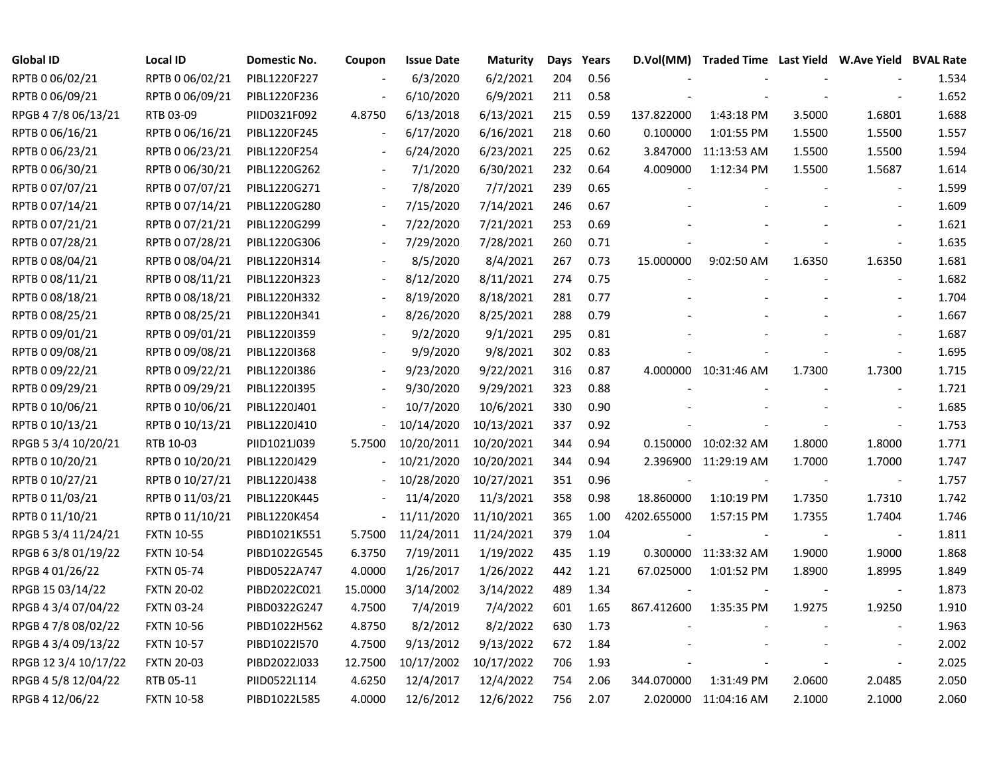| <b>Global ID</b>     | <b>Local ID</b>   | Domestic No. | Coupon                   | <b>Issue Date</b> | <b>Maturity</b> | Days | Years | D.Vol(MM)   | Traded Time Last Yield W.Ave Yield BVAL Rate |        |                          |       |
|----------------------|-------------------|--------------|--------------------------|-------------------|-----------------|------|-------|-------------|----------------------------------------------|--------|--------------------------|-------|
| RPTB 0 06/02/21      | RPTB 0 06/02/21   | PIBL1220F227 |                          | 6/3/2020          | 6/2/2021        | 204  | 0.56  |             |                                              |        |                          | 1.534 |
| RPTB 0 06/09/21      | RPTB 0 06/09/21   | PIBL1220F236 |                          | 6/10/2020         | 6/9/2021        | 211  | 0.58  |             |                                              |        |                          | 1.652 |
| RPGB 4 7/8 06/13/21  | RTB 03-09         | PIID0321F092 | 4.8750                   | 6/13/2018         | 6/13/2021       | 215  | 0.59  | 137.822000  | 1:43:18 PM                                   | 3.5000 | 1.6801                   | 1.688 |
| RPTB 0 06/16/21      | RPTB 0 06/16/21   | PIBL1220F245 | $\overline{\phantom{a}}$ | 6/17/2020         | 6/16/2021       | 218  | 0.60  | 0.100000    | 1:01:55 PM                                   | 1.5500 | 1.5500                   | 1.557 |
| RPTB 0 06/23/21      | RPTB 0 06/23/21   | PIBL1220F254 | $\overline{\phantom{a}}$ | 6/24/2020         | 6/23/2021       | 225  | 0.62  |             | 3.847000 11:13:53 AM                         | 1.5500 | 1.5500                   | 1.594 |
| RPTB 0 06/30/21      | RPTB 0 06/30/21   | PIBL1220G262 | $\blacksquare$           | 7/1/2020          | 6/30/2021       | 232  | 0.64  | 4.009000    | 1:12:34 PM                                   | 1.5500 | 1.5687                   | 1.614 |
| RPTB 0 07/07/21      | RPTB 0 07/07/21   | PIBL1220G271 | $\overline{\phantom{a}}$ | 7/8/2020          | 7/7/2021        | 239  | 0.65  |             |                                              |        | $\overline{\phantom{a}}$ | 1.599 |
| RPTB 0 07/14/21      | RPTB 0 07/14/21   | PIBL1220G280 |                          | 7/15/2020         | 7/14/2021       | 246  | 0.67  |             |                                              |        |                          | 1.609 |
| RPTB 0 07/21/21      | RPTB 0 07/21/21   | PIBL1220G299 |                          | 7/22/2020         | 7/21/2021       | 253  | 0.69  |             |                                              |        | $\sim$                   | 1.621 |
| RPTB 0 07/28/21      | RPTB 0 07/28/21   | PIBL1220G306 |                          | 7/29/2020         | 7/28/2021       | 260  | 0.71  |             |                                              |        | $\overline{\phantom{a}}$ | 1.635 |
| RPTB 0 08/04/21      | RPTB 0 08/04/21   | PIBL1220H314 |                          | 8/5/2020          | 8/4/2021        | 267  | 0.73  | 15.000000   | 9:02:50 AM                                   | 1.6350 | 1.6350                   | 1.681 |
| RPTB 0 08/11/21      | RPTB 0 08/11/21   | PIBL1220H323 |                          | 8/12/2020         | 8/11/2021       | 274  | 0.75  |             |                                              |        | $\sim$                   | 1.682 |
| RPTB 0 08/18/21      | RPTB 0 08/18/21   | PIBL1220H332 |                          | 8/19/2020         | 8/18/2021       | 281  | 0.77  |             |                                              |        |                          | 1.704 |
| RPTB 0 08/25/21      | RPTB 0 08/25/21   | PIBL1220H341 |                          | 8/26/2020         | 8/25/2021       | 288  | 0.79  |             |                                              |        | $\blacksquare$           | 1.667 |
| RPTB 0 09/01/21      | RPTB 0 09/01/21   | PIBL1220I359 |                          | 9/2/2020          | 9/1/2021        | 295  | 0.81  |             |                                              |        |                          | 1.687 |
| RPTB 0 09/08/21      | RPTB 0 09/08/21   | PIBL1220I368 |                          | 9/9/2020          | 9/8/2021        | 302  | 0.83  |             |                                              |        |                          | 1.695 |
| RPTB 0 09/22/21      | RPTB 0 09/22/21   | PIBL1220I386 | $\overline{\phantom{a}}$ | 9/23/2020         | 9/22/2021       | 316  | 0.87  |             | 4.000000 10:31:46 AM                         | 1.7300 | 1.7300                   | 1.715 |
| RPTB 0 09/29/21      | RPTB 0 09/29/21   | PIBL1220I395 | $\overline{\phantom{a}}$ | 9/30/2020         | 9/29/2021       | 323  | 0.88  |             |                                              |        | $\overline{\phantom{a}}$ | 1.721 |
| RPTB 0 10/06/21      | RPTB 0 10/06/21   | PIBL1220J401 | $\blacksquare$           | 10/7/2020         | 10/6/2021       | 330  | 0.90  |             |                                              |        |                          | 1.685 |
| RPTB 0 10/13/21      | RPTB 0 10/13/21   | PIBL1220J410 | $\overline{\phantom{0}}$ | 10/14/2020        | 10/13/2021      | 337  | 0.92  |             |                                              |        |                          | 1.753 |
| RPGB 5 3/4 10/20/21  | RTB 10-03         | PIID1021J039 | 5.7500                   | 10/20/2011        | 10/20/2021      | 344  | 0.94  |             | 0.150000 10:02:32 AM                         | 1.8000 | 1.8000                   | 1.771 |
| RPTB 0 10/20/21      | RPTB 0 10/20/21   | PIBL1220J429 |                          | 10/21/2020        | 10/20/2021      | 344  | 0.94  |             | 2.396900 11:29:19 AM                         | 1.7000 | 1.7000                   | 1.747 |
| RPTB 0 10/27/21      | RPTB 0 10/27/21   | PIBL1220J438 |                          | 10/28/2020        | 10/27/2021      | 351  | 0.96  |             |                                              |        | $\overline{\phantom{a}}$ | 1.757 |
| RPTB 0 11/03/21      | RPTB 0 11/03/21   | PIBL1220K445 |                          | 11/4/2020         | 11/3/2021       | 358  | 0.98  | 18.860000   | 1:10:19 PM                                   | 1.7350 | 1.7310                   | 1.742 |
| RPTB 0 11/10/21      | RPTB 0 11/10/21   | PIBL1220K454 | $\blacksquare$           | 11/11/2020        | 11/10/2021      | 365  | 1.00  | 4202.655000 | 1:57:15 PM                                   | 1.7355 | 1.7404                   | 1.746 |
| RPGB 5 3/4 11/24/21  | <b>FXTN 10-55</b> | PIBD1021K551 | 5.7500                   | 11/24/2011        | 11/24/2021      | 379  | 1.04  |             |                                              |        | $\overline{\phantom{a}}$ | 1.811 |
| RPGB 6 3/8 01/19/22  | <b>FXTN 10-54</b> | PIBD1022G545 | 6.3750                   | 7/19/2011         | 1/19/2022       | 435  | 1.19  |             | 0.300000 11:33:32 AM                         | 1.9000 | 1.9000                   | 1.868 |
| RPGB 4 01/26/22      | <b>FXTN 05-74</b> | PIBD0522A747 | 4.0000                   | 1/26/2017         | 1/26/2022       | 442  | 1.21  | 67.025000   | 1:01:52 PM                                   | 1.8900 | 1.8995                   | 1.849 |
| RPGB 15 03/14/22     | <b>FXTN 20-02</b> | PIBD2022C021 | 15.0000                  | 3/14/2002         | 3/14/2022       | 489  | 1.34  |             |                                              |        | $\overline{\phantom{a}}$ | 1.873 |
| RPGB 4 3/4 07/04/22  | <b>FXTN 03-24</b> | PIBD0322G247 | 4.7500                   | 7/4/2019          | 7/4/2022        | 601  | 1.65  | 867.412600  | 1:35:35 PM                                   | 1.9275 | 1.9250                   | 1.910 |
| RPGB 4 7/8 08/02/22  | <b>FXTN 10-56</b> | PIBD1022H562 | 4.8750                   | 8/2/2012          | 8/2/2022        | 630  | 1.73  |             |                                              |        |                          | 1.963 |
| RPGB 4 3/4 09/13/22  | <b>FXTN 10-57</b> | PIBD1022I570 | 4.7500                   | 9/13/2012         | 9/13/2022       | 672  | 1.84  |             |                                              |        | $\blacksquare$           | 2.002 |
| RPGB 12 3/4 10/17/22 | <b>FXTN 20-03</b> | PIBD2022J033 | 12.7500                  | 10/17/2002        | 10/17/2022      | 706  | 1.93  |             |                                              |        | $\overline{\phantom{a}}$ | 2.025 |
| RPGB 4 5/8 12/04/22  | RTB 05-11         | PIID0522L114 | 4.6250                   | 12/4/2017         | 12/4/2022       | 754  | 2.06  | 344.070000  | 1:31:49 PM                                   | 2.0600 | 2.0485                   | 2.050 |
| RPGB 4 12/06/22      | <b>FXTN 10-58</b> | PIBD1022L585 | 4.0000                   | 12/6/2012         | 12/6/2022       | 756  | 2.07  |             | 2.020000 11:04:16 AM                         | 2.1000 | 2.1000                   | 2.060 |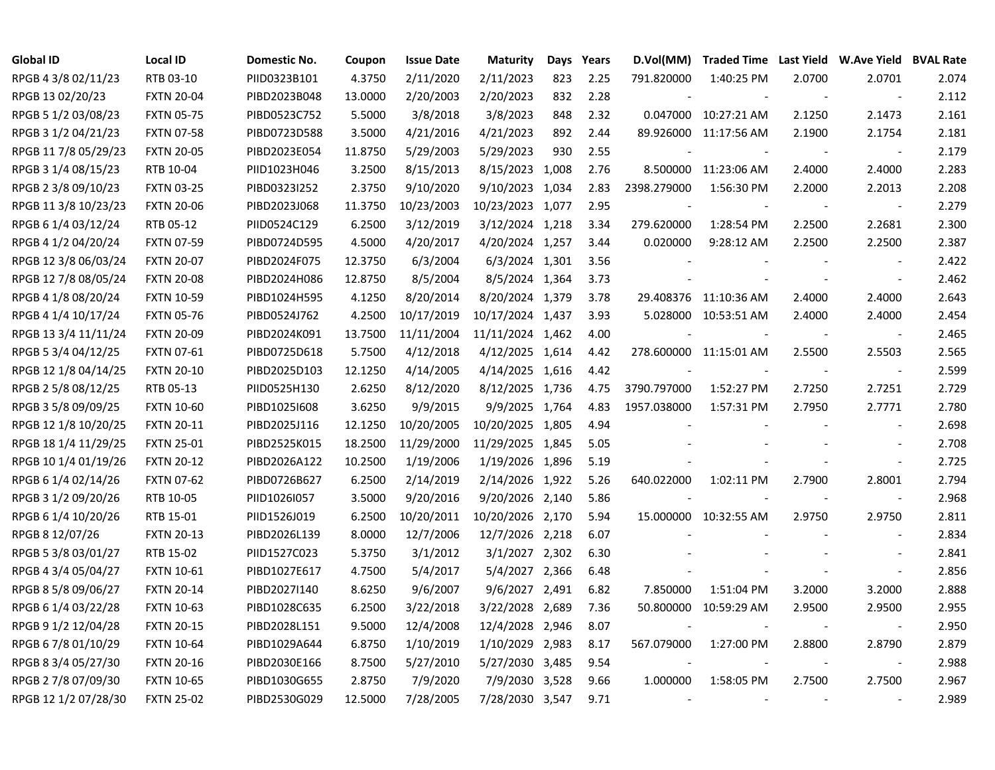| <b>Global ID</b>     | <b>Local ID</b>   | Domestic No. | Coupon  | <b>Issue Date</b> | <b>Maturity</b>  | Days | Years | D.Vol(MM)                |                        |        | Traded Time Last Yield W.Ave Yield BVAL Rate |       |
|----------------------|-------------------|--------------|---------|-------------------|------------------|------|-------|--------------------------|------------------------|--------|----------------------------------------------|-------|
| RPGB 4 3/8 02/11/23  | RTB 03-10         | PIID0323B101 | 4.3750  | 2/11/2020         | 2/11/2023        | 823  | 2.25  | 791.820000               | 1:40:25 PM             | 2.0700 | 2.0701                                       | 2.074 |
| RPGB 13 02/20/23     | <b>FXTN 20-04</b> | PIBD2023B048 | 13.0000 | 2/20/2003         | 2/20/2023        | 832  | 2.28  |                          |                        | $\sim$ | $\overline{\phantom{a}}$                     | 2.112 |
| RPGB 5 1/2 03/08/23  | <b>FXTN 05-75</b> | PIBD0523C752 | 5.5000  | 3/8/2018          | 3/8/2023         | 848  | 2.32  |                          | 0.047000 10:27:21 AM   | 2.1250 | 2.1473                                       | 2.161 |
| RPGB 3 1/2 04/21/23  | <b>FXTN 07-58</b> | PIBD0723D588 | 3.5000  | 4/21/2016         | 4/21/2023        | 892  | 2.44  |                          | 89.926000 11:17:56 AM  | 2.1900 | 2.1754                                       | 2.181 |
| RPGB 117/8 05/29/23  | <b>FXTN 20-05</b> | PIBD2023E054 | 11.8750 | 5/29/2003         | 5/29/2023        | 930  | 2.55  |                          |                        |        | $\overline{\phantom{a}}$                     | 2.179 |
| RPGB 3 1/4 08/15/23  | RTB 10-04         | PIID1023H046 | 3.2500  | 8/15/2013         | 8/15/2023 1,008  |      | 2.76  |                          | 8.500000 11:23:06 AM   | 2.4000 | 2.4000                                       | 2.283 |
| RPGB 2 3/8 09/10/23  | <b>FXTN 03-25</b> | PIBD0323I252 | 2.3750  | 9/10/2020         | 9/10/2023 1,034  |      | 2.83  | 2398.279000              | 1:56:30 PM             | 2.2000 | 2.2013                                       | 2.208 |
| RPGB 11 3/8 10/23/23 | <b>FXTN 20-06</b> | PIBD2023J068 | 11.3750 | 10/23/2003        | 10/23/2023 1,077 |      | 2.95  |                          |                        |        |                                              | 2.279 |
| RPGB 6 1/4 03/12/24  | RTB 05-12         | PIID0524C129 | 6.2500  | 3/12/2019         | 3/12/2024 1,218  |      | 3.34  | 279.620000               | 1:28:54 PM             | 2.2500 | 2.2681                                       | 2.300 |
| RPGB 4 1/2 04/20/24  | <b>FXTN 07-59</b> | PIBD0724D595 | 4.5000  | 4/20/2017         | 4/20/2024 1,257  |      | 3.44  | 0.020000                 | 9:28:12 AM             | 2.2500 | 2.2500                                       | 2.387 |
| RPGB 12 3/8 06/03/24 | <b>FXTN 20-07</b> | PIBD2024F075 | 12.3750 | 6/3/2004          | 6/3/2024 1,301   |      | 3.56  |                          |                        |        | $\overline{\phantom{a}}$                     | 2.422 |
| RPGB 12 7/8 08/05/24 | <b>FXTN 20-08</b> | PIBD2024H086 | 12.8750 | 8/5/2004          | 8/5/2024 1,364   |      | 3.73  |                          |                        |        | $\blacksquare$                               | 2.462 |
| RPGB 4 1/8 08/20/24  | <b>FXTN 10-59</b> | PIBD1024H595 | 4.1250  | 8/20/2014         | 8/20/2024 1,379  |      | 3.78  |                          | 29.408376 11:10:36 AM  | 2.4000 | 2.4000                                       | 2.643 |
| RPGB 4 1/4 10/17/24  | <b>FXTN 05-76</b> | PIBD0524J762 | 4.2500  | 10/17/2019        | 10/17/2024 1,437 |      | 3.93  |                          | 5.028000 10:53:51 AM   | 2.4000 | 2.4000                                       | 2.454 |
| RPGB 13 3/4 11/11/24 | <b>FXTN 20-09</b> | PIBD2024K091 | 13.7500 | 11/11/2004        | 11/11/2024 1,462 |      | 4.00  |                          |                        |        | $\overline{\phantom{a}}$                     | 2.465 |
| RPGB 5 3/4 04/12/25  | <b>FXTN 07-61</b> | PIBD0725D618 | 5.7500  | 4/12/2018         | 4/12/2025 1,614  |      | 4.42  |                          | 278.600000 11:15:01 AM | 2.5500 | 2.5503                                       | 2.565 |
| RPGB 12 1/8 04/14/25 | <b>FXTN 20-10</b> | PIBD2025D103 | 12.1250 | 4/14/2005         | 4/14/2025 1,616  |      | 4.42  |                          |                        |        | $\overline{\phantom{a}}$                     | 2.599 |
| RPGB 2 5/8 08/12/25  | RTB 05-13         | PIID0525H130 | 2.6250  | 8/12/2020         | 8/12/2025 1,736  |      | 4.75  | 3790.797000              | 1:52:27 PM             | 2.7250 | 2.7251                                       | 2.729 |
| RPGB 3 5/8 09/09/25  | <b>FXTN 10-60</b> | PIBD1025I608 | 3.6250  | 9/9/2015          | 9/9/2025 1,764   |      | 4.83  | 1957.038000              | 1:57:31 PM             | 2.7950 | 2.7771                                       | 2.780 |
| RPGB 12 1/8 10/20/25 | <b>FXTN 20-11</b> | PIBD2025J116 | 12.1250 | 10/20/2005        | 10/20/2025 1,805 |      | 4.94  |                          |                        |        | $\blacksquare$                               | 2.698 |
| RPGB 18 1/4 11/29/25 | <b>FXTN 25-01</b> | PIBD2525K015 | 18.2500 | 11/29/2000        | 11/29/2025 1,845 |      | 5.05  |                          |                        |        |                                              | 2.708 |
| RPGB 10 1/4 01/19/26 | <b>FXTN 20-12</b> | PIBD2026A122 | 10.2500 | 1/19/2006         | 1/19/2026 1,896  |      | 5.19  |                          |                        |        | $\sim$                                       | 2.725 |
| RPGB 6 1/4 02/14/26  | <b>FXTN 07-62</b> | PIBD0726B627 | 6.2500  | 2/14/2019         | 2/14/2026 1,922  |      | 5.26  | 640.022000               | 1:02:11 PM             | 2.7900 | 2.8001                                       | 2.794 |
| RPGB 3 1/2 09/20/26  | RTB 10-05         | PIID1026I057 | 3.5000  | 9/20/2016         | 9/20/2026 2,140  |      | 5.86  |                          |                        |        | $\overline{\phantom{a}}$                     | 2.968 |
| RPGB 6 1/4 10/20/26  | RTB 15-01         | PIID1526J019 | 6.2500  | 10/20/2011        | 10/20/2026 2,170 |      | 5.94  |                          | 15.000000 10:32:55 AM  | 2.9750 | 2.9750                                       | 2.811 |
| RPGB 8 12/07/26      | <b>FXTN 20-13</b> | PIBD2026L139 | 8.0000  | 12/7/2006         | 12/7/2026 2,218  |      | 6.07  |                          |                        |        | $\sim$                                       | 2.834 |
| RPGB 5 3/8 03/01/27  | RTB 15-02         | PIID1527C023 | 5.3750  | 3/1/2012          | 3/1/2027 2,302   |      | 6.30  |                          |                        |        | $\overline{\phantom{a}}$                     | 2.841 |
| RPGB 4 3/4 05/04/27  | <b>FXTN 10-61</b> | PIBD1027E617 | 4.7500  | 5/4/2017          | 5/4/2027 2,366   |      | 6.48  |                          |                        |        | $\blacksquare$                               | 2.856 |
| RPGB 8 5/8 09/06/27  | <b>FXTN 20-14</b> | PIBD2027I140 | 8.6250  | 9/6/2007          | 9/6/2027 2,491   |      | 6.82  | 7.850000                 | 1:51:04 PM             | 3.2000 | 3.2000                                       | 2.888 |
| RPGB 6 1/4 03/22/28  | <b>FXTN 10-63</b> | PIBD1028C635 | 6.2500  | 3/22/2018         | 3/22/2028 2,689  |      | 7.36  | 50.800000                | 10:59:29 AM            | 2.9500 | 2.9500                                       | 2.955 |
| RPGB 9 1/2 12/04/28  | <b>FXTN 20-15</b> | PIBD2028L151 | 9.5000  | 12/4/2008         | 12/4/2028 2,946  |      | 8.07  |                          |                        |        | $\overline{\phantom{a}}$                     | 2.950 |
| RPGB 6 7/8 01/10/29  | <b>FXTN 10-64</b> | PIBD1029A644 | 6.8750  | 1/10/2019         | 1/10/2029 2,983  |      | 8.17  | 567.079000               | 1:27:00 PM             | 2.8800 | 2.8790                                       | 2.879 |
| RPGB 8 3/4 05/27/30  | <b>FXTN 20-16</b> | PIBD2030E166 | 8.7500  | 5/27/2010         | 5/27/2030 3,485  |      | 9.54  |                          |                        |        | $\overline{\phantom{a}}$                     | 2.988 |
| RPGB 2 7/8 07/09/30  | <b>FXTN 10-65</b> | PIBD1030G655 | 2.8750  | 7/9/2020          | 7/9/2030 3,528   |      | 9.66  | 1.000000                 | 1:58:05 PM             | 2.7500 | 2.7500                                       | 2.967 |
| RPGB 12 1/2 07/28/30 | <b>FXTN 25-02</b> | PIBD2530G029 | 12.5000 | 7/28/2005         | 7/28/2030 3,547  |      | 9.71  | $\overline{\phantom{a}}$ |                        |        |                                              | 2.989 |